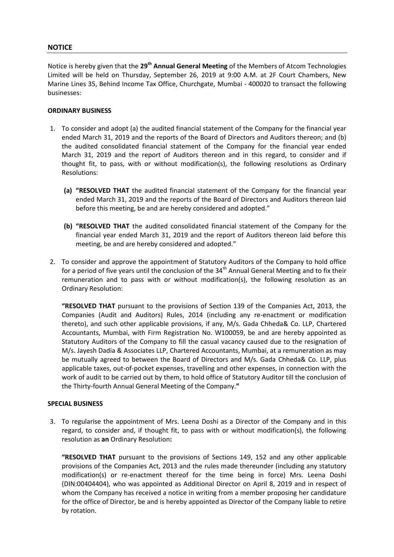## **NOTICE**

Notice is hereby given that the **29th Annual General Meeting** of the Members of Atcom Technologies Limited will be held on Thursday, September 26, 2019 at 9:00 A.M. at 2F Court Chambers, New Marine Lines 35, Behind Income Tax Office, Churchgate, Mumbai - 400020 to transact the following businesses:

### **ORDINARY BUSINESS**

- 1. To consider and adopt (a) the audited financial statement of the Company for the financial year ended March 31, 2019 and the reports of the Board of Directors and Auditors thereon; and (b) the audited consolidated financial statement of the Company for the financial year ended March 31, 2019 and the report of Auditors thereon and in this regard, to consider and if thought fit, to pass, with or without modification(s), the following resolutions as Ordinary Resolutions:
	- **(a) "RESOLVED THAT** the audited financial statement of the Company for the financial year ended March 31, 2019 and the reports of the Board of Directors and Auditors thereon laid before this meeting, be and are hereby considered and adopted."
	- **(b) "RESOLVED THAT** the audited consolidated financial statement of the Company for the financial year ended March 31, 2019 and the report of Auditors thereon laid before this meeting, be and are hereby considered and adopted."
- 2. To consider and approve the appointment of Statutory Auditors of the Company to hold office for a period of five years until the conclusion of the  $34<sup>th</sup>$  Annual General Meeting and to fix their remuneration and to pass with or without modification(s), the following resolution as an Ordinary Resolution:

**"RESOLVED THAT** pursuant to the provisions of Section 139 of the Companies Act, 2013, the Companies (Audit and Auditors) Rules, 2014 (including any re-enactment or modification thereto), and such other applicable provisions, if any, M/s. Gada Chheda& Co. LLP, Chartered Accountants, Mumbai, with Firm Registration No. W100059, be and are hereby appointed as Statutory Auditors of the Company to fill the casual vacancy caused due to the resignation of M/s. Jayesh Dadia & Associates LLP, Chartered Accountants, Mumbai, at a remuneration as may be mutually agreed to between the Board of Directors and M/s. Gada Chheda& Co. LLP, plus applicable taxes, out-of-pocket expenses, travelling and other expenses, in connection with the work of audit to be carried out by them, to hold office of Statutory Auditor till the conclusion of the Thirty-fourth Annual General Meeting of the Company.**"**

### **SPECIAL BUSINESS**

3. To regularise the appointment of Mrs. Leena Doshi as a Director of the Company and in this regard, to consider and, if thought fit, to pass with or without modification(s), the following resolution as **an** Ordinary Resolution**:**

**"RESOLVED THAT** pursuant to the provisions of Sections 149, 152 and any other applicable provisions of the Companies Act, 2013 and the rules made thereunder (including any statutory modification(s) or re-enactment thereof for the time being in force) Mrs. Leena Doshi (DIN:00404404), who was appointed as Additional Director on April 8, 2019 and in respect of whom the Company has received a notice in writing from a member proposing her candidature for the office of Director, be and is hereby appointed as Director of the Company liable to retire by rotation.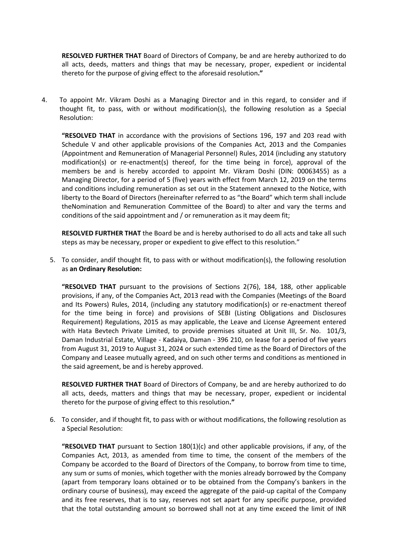**RESOLVED FURTHER THAT** Board of Directors of Company, be and are hereby authorized to do all acts, deeds, matters and things that may be necessary, proper, expedient or incidental thereto for the purpose of giving effect to the aforesaid resolution**."**

4. To appoint Mr. Vikram Doshi as a Managing Director and in this regard, to consider and if thought fit, to pass, with or without modification(s), the following resolution as a Special Resolution:

**"RESOLVED THAT** in accordance with the provisions of Sections 196, 197 and 203 read with Schedule V and other applicable provisions of the Companies Act, 2013 and the Companies (Appointment and Remuneration of Managerial Personnel) Rules, 2014 (including any statutory modification(s) or re-enactment(s) thereof, for the time being in force), approval of the members be and is hereby accorded to appoint Mr. Vikram Doshi (DIN: 00063455) as a Managing Director, for a period of 5 (five) years with effect from March 12, 2019 on the terms and conditions including remuneration as set out in the Statement annexed to the Notice, with liberty to the Board of Directors (hereinafter referred to as "the Board" which term shall include theNomination and Remuneration Committee of the Board) to alter and vary the terms and conditions of the said appointment and / or remuneration as it may deem fit;

**RESOLVED FURTHER THAT** the Board be and is hereby authorised to do all acts and take all such steps as may be necessary, proper or expedient to give effect to this resolution."

5. To consider, andif thought fit, to pass with or without modification(s), the following resolution as **an Ordinary Resolution:**

**"RESOLVED THAT** pursuant to the provisions of Sections 2(76), 184, 188, other applicable provisions, if any, of the Companies Act, 2013 read with the Companies (Meetings of the Board and Its Powers) Rules, 2014, (including any statutory modification(s) or re-enactment thereof for the time being in force) and provisions of SEBI (Listing Obligations and Disclosures Requirement) Regulations, 2015 as may applicable, the Leave and License Agreement entered with Hata Bevtech Private Limited, to provide premises situated at Unit III, Sr. No. 101/3, Daman Industrial Estate, Village - Kadaiya, Daman - 396 210, on lease for a period of five years from August 31, 2019 to August 31, 2024 or such extended time as the Board of Directors of the Company and Leasee mutually agreed, and on such other terms and conditions as mentioned in the said agreement, be and is hereby approved.

**RESOLVED FURTHER THAT** Board of Directors of Company, be and are hereby authorized to do all acts, deeds, matters and things that may be necessary, proper, expedient or incidental thereto for the purpose of giving effect to this resolution**."**

6. To consider, and if thought fit, to pass with or without modifications, the following resolution as a Special Resolution:

**"RESOLVED THAT** pursuant to Section 180(1)(c) and other applicable provisions, if any, of the Companies Act, 2013, as amended from time to time, the consent of the members of the Company be accorded to the Board of Directors of the Company, to borrow from time to time, any sum or sums of monies, which together with the monies already borrowed by the Company (apart from temporary loans obtained or to be obtained from the Company's bankers in the ordinary course of business), may exceed the aggregate of the paid-up capital of the Company and its free reserves, that is to say, reserves not set apart for any specific purpose, provided that the total outstanding amount so borrowed shall not at any time exceed the limit of INR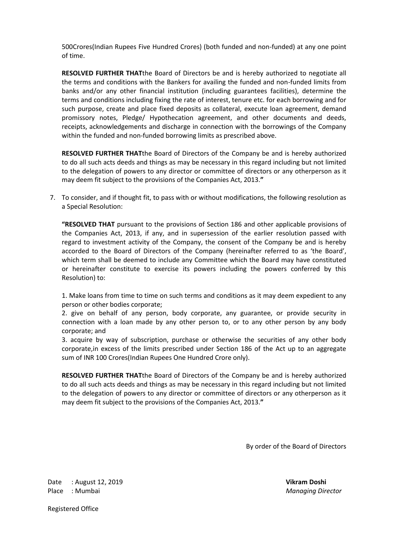500Crores(Indian Rupees Five Hundred Crores) (both funded and non-funded) at any one point of time.

**RESOLVED FURTHER THAT**the Board of Directors be and is hereby authorized to negotiate all the terms and conditions with the Bankers for availing the funded and non-funded limits from banks and/or any other financial institution (including guarantees facilities), determine the terms and conditions including fixing the rate of interest, tenure etc. for each borrowing and for such purpose, create and place fixed deposits as collateral, execute loan agreement, demand promissory notes, Pledge/ Hypothecation agreement, and other documents and deeds, receipts, acknowledgements and discharge in connection with the borrowings of the Company within the funded and non-funded borrowing limits as prescribed above.

**RESOLVED FURTHER THAT**the Board of Directors of the Company be and is hereby authorized to do all such acts deeds and things as may be necessary in this regard including but not limited to the delegation of powers to any director or committee of directors or any otherperson as it may deem fit subject to the provisions of the Companies Act, 2013.**"**

7. To consider, and if thought fit, to pass with or without modifications, the following resolution as a Special Resolution:

**"RESOLVED THAT** pursuant to the provisions of Section 186 and other applicable provisions of the Companies Act, 2013, if any, and in supersession of the earlier resolution passed with regard to investment activity of the Company, the consent of the Company be and is hereby accorded to the Board of Directors of the Company (hereinafter referred to as 'the Board', which term shall be deemed to include any Committee which the Board may have constituted or hereinafter constitute to exercise its powers including the powers conferred by this Resolution) to:

1. Make loans from time to time on such terms and conditions as it may deem expedient to any person or other bodies corporate;

2. give on behalf of any person, body corporate, any guarantee, or provide security in connection with a loan made by any other person to, or to any other person by any body corporate; and

3. acquire by way of subscription, purchase or otherwise the securities of any other body corporate,in excess of the limits prescribed under Section 186 of the Act up to an aggregate sum of INR 100 Crores(Indian Rupees One Hundred Crore only).

**RESOLVED FURTHER THAT**the Board of Directors of the Company be and is hereby authorized to do all such acts deeds and things as may be necessary in this regard including but not limited to the delegation of powers to any director or committee of directors or any otherperson as it may deem fit subject to the provisions of the Companies Act, 2013.**"**

By order of the Board of Directors

Date : August 12, 2019 **Vikram Doshi** Place : Mumbai *Managing Director*

Registered Office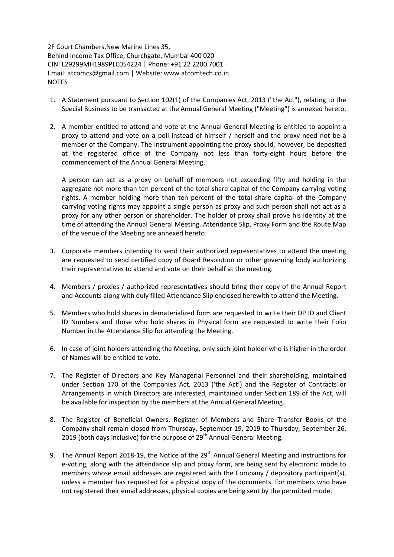2F Court Chambers,New Marine Lines 35, Behind Income Tax Office, Churchgate, Mumbai 400 020 CIN: L29299MH1989PLC054224 | Phone: +91 22 2200 7001 Email: atcomcs@gmail.com | Website: www.atcomtech.co.in NOTES

- 1. A Statement pursuant to Section 102(1) of the Companies Act, 2013 ("the Act"), relating to the Special Business to be transacted at the Annual General Meeting ("Meeting") is annexed hereto.
- 2. A member entitled to attend and vote at the Annual General Meeting is entitled to appoint a proxy to attend and vote on a poll instead of himself / herself and the proxy need not be a member of the Company. The instrument appointing the proxy should, however, be deposited at the registered office of the Company not less than forty-eight hours before the commencement of the Annual General Meeting.

A person can act as a proxy on behalf of members not exceeding fifty and holding in the aggregate not more than ten percent of the total share capital of the Company carrying voting rights. A member holding more than ten percent of the total share capital of the Company carrying voting rights may appoint a single person as proxy and such person shall not act as a proxy for any other person or shareholder. The holder of proxy shall prove his identity at the time of attending the Annual General Meeting. Attendance Slip, Proxy Form and the Route Map of the venue of the Meeting are annexed hereto.

- 3. Corporate members intending to send their authorized representatives to attend the meeting are requested to send certified copy of Board Resolution or other governing body authorizing their representatives to attend and vote on their behalf at the meeting.
- 4. Members / proxies / authorized representatives should bring their copy of the Annual Report and Accounts along with duly filled Attendance Slip enclosed herewith to attend the Meeting.
- 5. Members who hold shares in dematerialized form are requested to write their DP ID and Client ID Numbers and those who hold shares in Physical form are requested to write their Folio Number in the Attendance Slip for attending the Meeting.
- 6. In case of joint holders attending the Meeting, only such joint holder who is higher in the order of Names will be entitled to vote.
- 7. The Register of Directors and Key Managerial Personnel and their shareholding, maintained under Section 170 of the Companies Act, 2013 ('the Act') and the Register of Contracts or Arrangements in which Directors are interested, maintained under Section 189 of the Act, will be available for inspection by the members at the Annual General Meeting.
- 8. The Register of Beneficial Owners, Register of Members and Share Transfer Books of the Company shall remain closed from Thursday, September 19, 2019 to Thursday, September 26, 2019 (both days inclusive) for the purpose of 29<sup>th</sup> Annual General Meeting.
- 9. The Annual Report 2018-19, the Notice of the 29<sup>th</sup> Annual General Meeting and instructions for e-voting, along with the attendance slip and proxy form, are being sent by electronic mode to members whose email addresses are registered with the Company / depository participant(s), unless a member has requested for a physical copy of the documents. For members who have not registered their email addresses, physical copies are being sent by the permitted mode.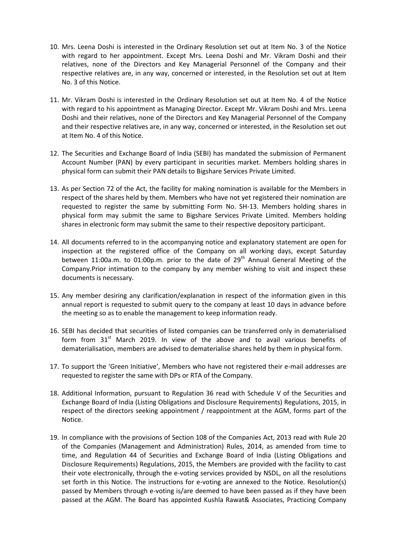- 10. Mrs. Leena Doshi is interested in the Ordinary Resolution set out at Item No. 3 of the Notice with regard to her appointment. Except Mrs. Leena Doshi and Mr. Vikram Doshi and their relatives, none of the Directors and Key Managerial Personnel of the Company and their respective relatives are, in any way, concerned or interested, in the Resolution set out at Item No. 3 of this Notice.
- 11. Mr. Vikram Doshi is interested in the Ordinary Resolution set out at Item No. 4 of the Notice with regard to his appointment as Managing Director. Except Mr. Vikram Doshi and Mrs. Leena Doshi and their relatives, none of the Directors and Key Managerial Personnel of the Company and their respective relatives are, in any way, concerned or interested, in the Resolution set out at Item No. 4 of this Notice.
- 12. The Securities and Exchange Board of India (SEBI) has mandated the submission of Permanent Account Number (PAN) by every participant in securities market. Members holding shares in physical form can submit their PAN details to Bigshare Services Private Limited.
- 13. As per Section 72 of the Act, the facility for making nomination is available for the Members in respect of the shares held by them. Members who have not yet registered their nomination are requested to register the same by submitting Form No. SH-13. Members holding shares in physical form may submit the same to Bigshare Services Private Limited. Members holding shares in electronic form may submit the same to their respective depository participant.
- 14. All documents referred to in the accompanying notice and explanatory statement are open for inspection at the registered office of the Company on all working days, except Saturday between 11:00a.m. to 01:00p.m. prior to the date of  $29<sup>th</sup>$  Annual General Meeting of the Company.Prior intimation to the company by any member wishing to visit and inspect these documents is necessary.
- 15. Any member desiring any clarification/explanation in respect of the information given in this annual report is requested to submit query to the company at least 10 days in advance before the meeting so as to enable the management to keep information ready.
- 16. SEBI has decided that securities of listed companies can be transferred only in dematerialised form from  $31<sup>st</sup>$  March 2019. In view of the above and to avail various benefits of dematerialisation, members are advised to dematerialise shares held by them in physical form.
- 17. To support the 'Green Initiative', Members who have not registered their e-mail addresses are requested to register the same with DPs or RTA of the Company.
- 18. Additional Information, pursuant to Regulation 36 read with Schedule V of the Securities and Exchange Board of India (Listing Obligations and Disclosure Requirements) Regulations, 2015, in respect of the directors seeking appointment / reappointment at the AGM, forms part of the Notice.
- 19. In compliance with the provisions of Section 108 of the Companies Act, 2013 read with Rule 20 of the Companies (Management and Administration) Rules, 2014, as amended from time to time, and Regulation 44 of Securities and Exchange Board of India (Listing Obligations and Disclosure Requirements) Regulations, 2015, the Members are provided with the facility to cast their vote electronically, through the e-voting services provided by NSDL, on all the resolutions set forth in this Notice. The instructions for e-voting are annexed to the Notice. Resolution(s) passed by Members through e-voting is/are deemed to have been passed as if they have been passed at the AGM. The Board has appointed Kushla Rawat& Associates, Practicing Company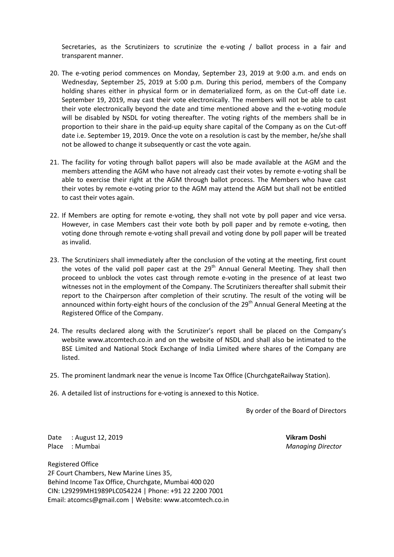Secretaries, as the Scrutinizers to scrutinize the e-voting / ballot process in a fair and transparent manner.

- 20. The e-voting period commences on Monday, September 23, 2019 at 9:00 a.m. and ends on Wednesday, September 25, 2019 at 5:00 p.m. During this period, members of the Company holding shares either in physical form or in dematerialized form, as on the Cut-off date i.e. September 19, 2019, may cast their vote electronically. The members will not be able to cast their vote electronically beyond the date and time mentioned above and the e-voting module will be disabled by NSDL for voting thereafter. The voting rights of the members shall be in proportion to their share in the paid-up equity share capital of the Company as on the Cut-off date i.e. September 19, 2019. Once the vote on a resolution is cast by the member, he/she shall not be allowed to change it subsequently or cast the vote again.
- 21. The facility for voting through ballot papers will also be made available at the AGM and the members attending the AGM who have not already cast their votes by remote e-voting shall be able to exercise their right at the AGM through ballot process. The Members who have cast their votes by remote e-voting prior to the AGM may attend the AGM but shall not be entitled to cast their votes again.
- 22. If Members are opting for remote e-voting, they shall not vote by poll paper and vice versa. However, in case Members cast their vote both by poll paper and by remote e-voting, then voting done through remote e-voting shall prevail and voting done by poll paper will be treated as invalid.
- 23. The Scrutinizers shall immediately after the conclusion of the voting at the meeting, first count the votes of the valid poll paper cast at the 29<sup>th</sup> Annual General Meeting. They shall then proceed to unblock the votes cast through remote e-voting in the presence of at least two witnesses not in the employment of the Company. The Scrutinizers thereafter shall submit their report to the Chairperson after completion of their scrutiny. The result of the voting will be announced within forty-eight hours of the conclusion of the  $29<sup>th</sup>$  Annual General Meeting at the Registered Office of the Company.
- 24. The results declared along with the Scrutinizer's report shall be placed on the Company's website www.atcomtech.co.in and on the website of NSDL and shall also be intimated to the BSE Limited and National Stock Exchange of India Limited where shares of the Company are listed.
- 25. The prominent landmark near the venue is Income Tax Office (ChurchgateRailway Station).
- 26. A detailed list of instructions for e-voting is annexed to this Notice.

By order of the Board of Directors

Date : August 12, 2019 **Vikram Doshi** Place : Mumbai *Managing Director*

Registered Office 2F Court Chambers, New Marine Lines 35, Behind Income Tax Office, Churchgate, Mumbai 400 020 CIN: L29299MH1989PLC054224 | Phone: +91 22 2200 7001 Email: atcomcs@gmail.com | Website: www.atcomtech.co.in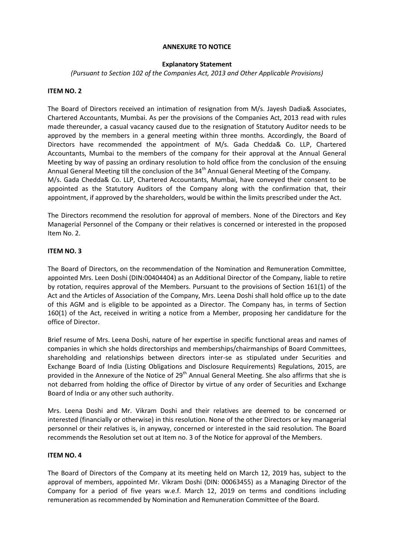### **ANNEXURE TO NOTICE**

## **Explanatory Statement**

*(Pursuant to Section 102 of the Companies Act, 2013 and Other Applicable Provisions)*

### **ITEM NO. 2**

The Board of Directors received an intimation of resignation from M/s. Jayesh Dadia& Associates, Chartered Accountants, Mumbai. As per the provisions of the Companies Act, 2013 read with rules made thereunder, a casual vacancy caused due to the resignation of Statutory Auditor needs to be approved by the members in a general meeting within three months. Accordingly, the Board of Directors have recommended the appointment of M/s. Gada Chedda& Co. LLP, Chartered Accountants, Mumbai to the members of the company for their approval at the Annual General Meeting by way of passing an ordinary resolution to hold office from the conclusion of the ensuing Annual General Meeting till the conclusion of the 34<sup>th</sup> Annual General Meeting of the Company. M/s. Gada Chedda& Co. LLP, Chartered Accountants, Mumbai, have conveyed their consent to be appointed as the Statutory Auditors of the Company along with the confirmation that, their appointment, if approved by the shareholders, would be within the limits prescribed under the Act.

The Directors recommend the resolution for approval of members. None of the Directors and Key Managerial Personnel of the Company or their relatives is concerned or interested in the proposed Item No. 2.

## **ITEM NO. 3**

The Board of Directors, on the recommendation of the Nomination and Remuneration Committee, appointed Mrs. Leen Doshi (DIN:00404404) as an Additional Director of the Company, liable to retire by rotation, requires approval of the Members. Pursuant to the provisions of Section 161(1) of the Act and the Articles of Association of the Company, Mrs. Leena Doshi shall hold office up to the date of this AGM and is eligible to be appointed as a Director. The Company has, in terms of Section 160(1) of the Act, received in writing a notice from a Member, proposing her candidature for the office of Director.

Brief resume of Mrs. Leena Doshi, nature of her expertise in specific functional areas and names of companies in which she holds directorships and memberships/chairmanships of Board Committees, shareholding and relationships between directors inter-se as stipulated under Securities and Exchange Board of India (Listing Obligations and Disclosure Requirements) Regulations, 2015, are provided in the Annexure of the Notice of 29<sup>th</sup> Annual General Meeting. She also affirms that she is not debarred from holding the office of Director by virtue of any order of Securities and Exchange Board of India or any other such authority.

Mrs. Leena Doshi and Mr. Vikram Doshi and their relatives are deemed to be concerned or interested (financially or otherwise) in this resolution. None of the other Directors or key managerial personnel or their relatives is, in anyway, concerned or interested in the said resolution. The Board recommends the Resolution set out at Item no. 3 of the Notice for approval of the Members.

### **ITEM NO. 4**

The Board of Directors of the Company at its meeting held on March 12, 2019 has, subject to the approval of members, appointed Mr. Vikram Doshi (DIN: 00063455) as a Managing Director of the Company for a period of five years w.e.f. March 12, 2019 on terms and conditions including remuneration as recommended by Nomination and Remuneration Committee of the Board.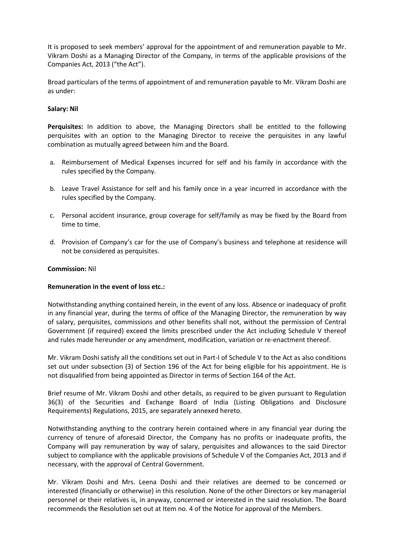It is proposed to seek members' approval for the appointment of and remuneration payable to Mr. Vikram Doshi as a Managing Director of the Company, in terms of the applicable provisions of the Companies Act, 2013 ("the Act").

Broad particulars of the terms of appointment of and remuneration payable to Mr. Vikram Doshi are as under:

### **Salary: Nil**

**Perquisites:** In addition to above, the Managing Directors shall be entitled to the following perquisites with an option to the Managing Director to receive the perquisites in any lawful combination as mutually agreed between him and the Board.

- a. Reimbursement of Medical Expenses incurred for self and his family in accordance with the rules specified by the Company.
- b. Leave Travel Assistance for self and his family once in a year incurred in accordance with the rules specified by the Company.
- c. Personal accident insurance, group coverage for self/family as may be fixed by the Board from time to time.
- d. Provision of Company's car for the use of Company's business and telephone at residence will not be considered as perquisites.

### **Commission:** Nil

### **Remuneration in the event of loss etc.:**

Notwithstanding anything contained herein, in the event of any loss. Absence or inadequacy of profit in any financial year, during the terms of office of the Managing Director, the remuneration by way of salary, perquisites, commissions and other benefits shall not, without the permission of Central Government (if required) exceed the limits prescribed under the Act including Schedule V thereof and rules made hereunder or any amendment, modification, variation or re-enactment thereof.

Mr. Vikram Doshi satisfy all the conditions set out in Part-I of Schedule V to the Act as also conditions set out under subsection (3) of Section 196 of the Act for being eligible for his appointment. He is not disqualified from being appointed as Director in terms of Section 164 of the Act.

Brief resume of Mr. Vikram Doshi and other details, as required to be given pursuant to Regulation 36(3) of the Securities and Exchange Board of India (Listing Obligations and Disclosure Requirements) Regulations, 2015, are separately annexed hereto.

Notwithstanding anything to the contrary herein contained where in any financial year during the currency of tenure of aforesaid Director, the Company has no profits or inadequate profits, the Company will pay remuneration by way of salary, perquisites and allowances to the said Director subject to compliance with the applicable provisions of Schedule V of the Companies Act, 2013 and if necessary, with the approval of Central Government.

Mr. Vikram Doshi and Mrs. Leena Doshi and their relatives are deemed to be concerned or interested (financially or otherwise) in this resolution. None of the other Directors or key managerial personnel or their relatives is, in anyway, concerned or interested in the said resolution. The Board recommends the Resolution set out at Item no. 4 of the Notice for approval of the Members.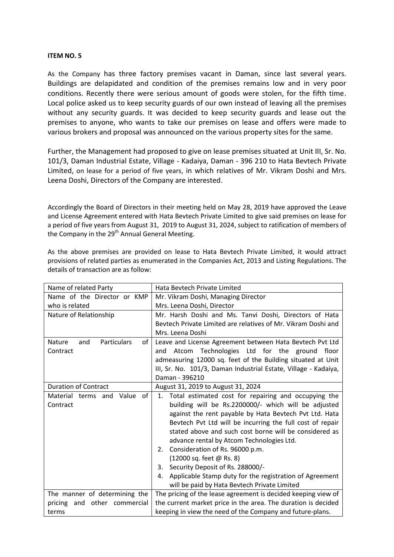### **ITEM NO. 5**

As the Company has three factory premises vacant in Daman, since last several years. Buildings are delapidated and condition of the premises remains low and in very poor conditions. Recently there were serious amount of goods were stolen, for the fifth time. Local police asked us to keep security guards of our own instead of leaving all the premises without any security guards. It was decided to keep security guards and lease out the premises to anyone, who wants to take our premises on lease and offers were made to various brokers and proposal was announced on the various property sites for the same.

Further, the Management had proposed to give on lease premises situated at Unit III, Sr. No. 101/3, Daman Industrial Estate, Village - Kadaiya, Daman - 396 210 to Hata Bevtech Private Limited, on lease for a period of five years, in which relatives of Mr. Vikram Doshi and Mrs. Leena Doshi, Directors of the Company are interested.

Accordingly the Board of Directors in their meeting held on May 28, 2019 have approved the Leave and License Agreement entered with Hata Bevtech Private Limited to give said premises on lease for a period of five years from August 31, 2019 to August 31, 2024, subject to ratification of members of the Company in the  $29<sup>th</sup>$  Annual General Meeting.

As the above premises are provided on lease to Hata Bevtech Private Limited, it would attract provisions of related parties as enumerated in the Companies Act, 2013 and Listing Regulations. The details of transaction are as follow:

| Name of related Party                                                                               | Hata Bevtech Private Limited                                    |  |  |  |  |
|-----------------------------------------------------------------------------------------------------|-----------------------------------------------------------------|--|--|--|--|
| Name of the Director or KMP                                                                         | Mr. Vikram Doshi, Managing Director                             |  |  |  |  |
| who is related                                                                                      | Mrs. Leena Doshi, Director                                      |  |  |  |  |
| Nature of Relationship                                                                              | Mr. Harsh Doshi and Ms. Tanvi Doshi, Directors of Hata          |  |  |  |  |
|                                                                                                     | Beytech Private Limited are relatives of Mr. Vikram Doshi and   |  |  |  |  |
|                                                                                                     | Mrs. Leena Doshi                                                |  |  |  |  |
| <b>Particulars</b><br>of<br>Nature<br>and                                                           | Leave and License Agreement between Hata Bevtech Pvt Ltd        |  |  |  |  |
| Contract                                                                                            | Atcom Technologies Ltd for the ground floor<br>and              |  |  |  |  |
|                                                                                                     | admeasuring 12000 sq. feet of the Building situated at Unit     |  |  |  |  |
|                                                                                                     | III, Sr. No. 101/3, Daman Industrial Estate, Village - Kadaiya, |  |  |  |  |
|                                                                                                     | Daman - 396210                                                  |  |  |  |  |
| <b>Duration of Contract</b>                                                                         | August 31, 2019 to August 31, 2024                              |  |  |  |  |
| of<br>Material terms and Value                                                                      | 1. Total estimated cost for repairing and occupying the         |  |  |  |  |
| Contract                                                                                            | building will be Rs.2200000/- which will be adjusted            |  |  |  |  |
|                                                                                                     | against the rent payable by Hata Bevtech Pvt Ltd. Hata          |  |  |  |  |
|                                                                                                     | Bevtech Pvt Ltd will be incurring the full cost of repair       |  |  |  |  |
|                                                                                                     | stated above and such cost borne will be considered as          |  |  |  |  |
|                                                                                                     | advance rental by Atcom Technologies Ltd.                       |  |  |  |  |
|                                                                                                     | Consideration of Rs. 96000 p.m.<br>2.                           |  |  |  |  |
|                                                                                                     | (12000 sq. feet @ Rs. 8)                                        |  |  |  |  |
|                                                                                                     | Security Deposit of Rs. 288000/-<br>3.                          |  |  |  |  |
|                                                                                                     | Applicable Stamp duty for the registration of Agreement<br>4.   |  |  |  |  |
|                                                                                                     | will be paid by Hata Bevtech Private Limited                    |  |  |  |  |
| The manner of determining the                                                                       | The pricing of the lease agreement is decided keeping view of   |  |  |  |  |
| the current market price in the area. The duration is decided<br>other commercial<br>pricing<br>and |                                                                 |  |  |  |  |
| terms                                                                                               | keeping in view the need of the Company and future-plans.       |  |  |  |  |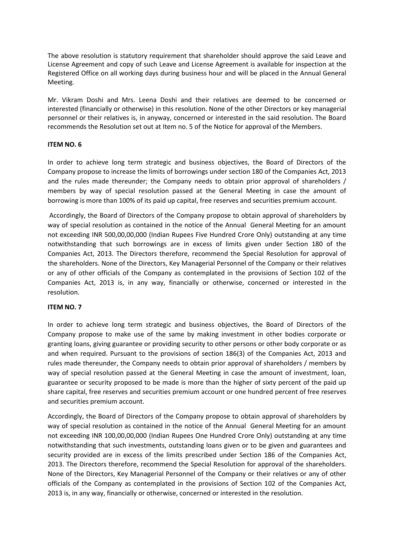The above resolution is statutory requirement that shareholder should approve the said Leave and License Agreement and copy of such Leave and License Agreement is available for inspection at the Registered Office on all working days during business hour and will be placed in the Annual General Meeting.

Mr. Vikram Doshi and Mrs. Leena Doshi and their relatives are deemed to be concerned or interested (financially or otherwise) in this resolution. None of the other Directors or key managerial personnel or their relatives is, in anyway, concerned or interested in the said resolution. The Board recommends the Resolution set out at Item no. 5 of the Notice for approval of the Members.

## **ITEM NO. 6**

In order to achieve long term strategic and business objectives, the Board of Directors of the Company propose to increase the limits of borrowings under section 180 of the Companies Act, 2013 and the rules made thereunder; the Company needs to obtain prior approval of shareholders / members by way of special resolution passed at the General Meeting in case the amount of borrowing is more than 100% of its paid up capital, free reserves and securities premium account.

Accordingly, the Board of Directors of the Company propose to obtain approval of shareholders by way of special resolution as contained in the notice of the Annual General Meeting for an amount not exceeding INR 500,00,00,000 (Indian Rupees Five Hundred Crore Only) outstanding at any time notwithstanding that such borrowings are in excess of limits given under Section 180 of the Companies Act, 2013. The Directors therefore, recommend the Special Resolution for approval of the shareholders. None of the Directors, Key Managerial Personnel of the Company or their relatives or any of other officials of the Company as contemplated in the provisions of Section 102 of the Companies Act, 2013 is, in any way, financially or otherwise, concerned or interested in the resolution.

## **ITEM NO. 7**

In order to achieve long term strategic and business objectives, the Board of Directors of the Company propose to make use of the same by making investment in other bodies corporate or granting loans, giving guarantee or providing security to other persons or other body corporate or as and when required. Pursuant to the provisions of section 186(3) of the Companies Act, 2013 and rules made thereunder, the Company needs to obtain prior approval of shareholders / members by way of special resolution passed at the General Meeting in case the amount of investment, loan, guarantee or security proposed to be made is more than the higher of sixty percent of the paid up share capital, free reserves and securities premium account or one hundred percent of free reserves and securities premium account.

Accordingly, the Board of Directors of the Company propose to obtain approval of shareholders by way of special resolution as contained in the notice of the Annual General Meeting for an amount not exceeding INR 100,00,00,000 (Indian Rupees One Hundred Crore Only) outstanding at any time notwithstanding that such investments, outstanding loans given or to be given and guarantees and security provided are in excess of the limits prescribed under Section 186 of the Companies Act, 2013. The Directors therefore, recommend the Special Resolution for approval of the shareholders. None of the Directors, Key Managerial Personnel of the Company or their relatives or any of other officials of the Company as contemplated in the provisions of Section 102 of the Companies Act, 2013 is, in any way, financially or otherwise, concerned or interested in the resolution.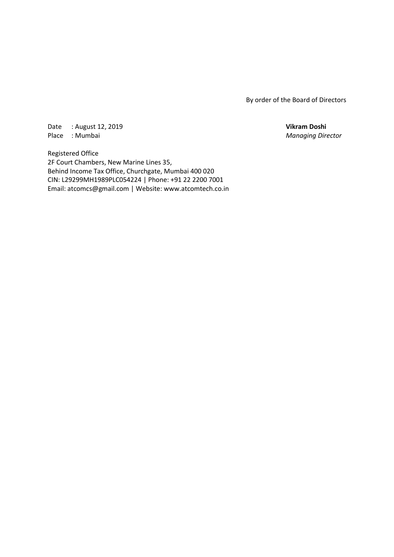By order of the Board of Directors

Date : August 12, 2019 **Vikram Doshi** Place : Mumbai *Managing Director*

Registered Office 2F Court Chambers, New Marine Lines 35, Behind Income Tax Office, Churchgate, Mumbai 400 020 CIN: L29299MH1989PLC054224 | Phone: +91 22 2200 7001 Email: atcomcs@gmail.com | Website: www.atcomtech.co.in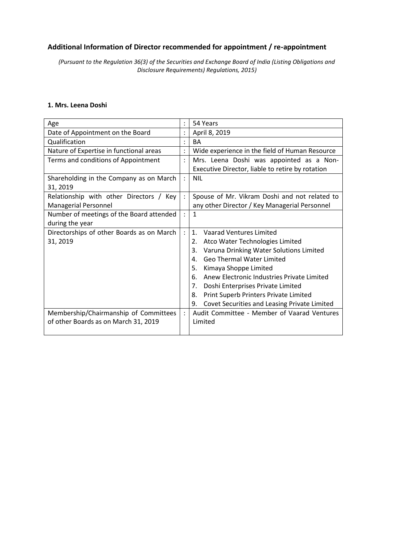## **Additional Information of Director recommended for appointment / re-appointment**

*(Pursuant to the Regulation 36(3) of the Securities and Exchange Board of India (Listing Obligations and Disclosure Requirements) Regulations, 2015)*

## **1. Mrs. Leena Doshi**

| Age                                       |                | 54 Years                                           |  |  |  |  |
|-------------------------------------------|----------------|----------------------------------------------------|--|--|--|--|
| Date of Appointment on the Board          |                | April 8, 2019                                      |  |  |  |  |
| Qualification                             |                | <b>BA</b>                                          |  |  |  |  |
| Nature of Expertise in functional areas   |                | Wide experience in the field of Human Resource     |  |  |  |  |
| Terms and conditions of Appointment       | $\ddot{\cdot}$ | Mrs. Leena Doshi was appointed as a Non-           |  |  |  |  |
|                                           |                | Executive Director, liable to retire by rotation   |  |  |  |  |
| Shareholding in the Company as on March   | $\ddot{\cdot}$ | <b>NIL</b>                                         |  |  |  |  |
| 31, 2019                                  |                |                                                    |  |  |  |  |
| Relationship with other Directors / Key   |                | Spouse of Mr. Vikram Doshi and not related to      |  |  |  |  |
| Managerial Personnel                      |                | any other Director / Key Managerial Personnel      |  |  |  |  |
| Number of meetings of the Board attended  |                | $\mathbf{1}$                                       |  |  |  |  |
| during the year                           |                |                                                    |  |  |  |  |
| Directorships of other Boards as on March | $\ddot{\cdot}$ | <b>Vaarad Ventures Limited</b><br>$\mathbf{1}$ .   |  |  |  |  |
| 31, 2019                                  |                | Atco Water Technologies Limited<br>2.              |  |  |  |  |
|                                           |                | Varuna Drinking Water Solutions Limited<br>3.      |  |  |  |  |
|                                           |                | Geo Thermal Water Limited<br>4.                    |  |  |  |  |
|                                           |                | 5.<br>Kimaya Shoppe Limited                        |  |  |  |  |
|                                           |                | Anew Electronic Industries Private Limited<br>6.   |  |  |  |  |
|                                           |                | 7.<br>Doshi Enterprises Private Limited            |  |  |  |  |
|                                           |                | Print Superb Printers Private Limited<br>8.        |  |  |  |  |
|                                           |                | 9.<br>Covet Securities and Leasing Private Limited |  |  |  |  |
| Membership/Chairmanship of Committees     |                | Audit Committee - Member of Vaarad Ventures        |  |  |  |  |
| of other Boards as on March 31, 2019      |                | Limited                                            |  |  |  |  |
|                                           |                |                                                    |  |  |  |  |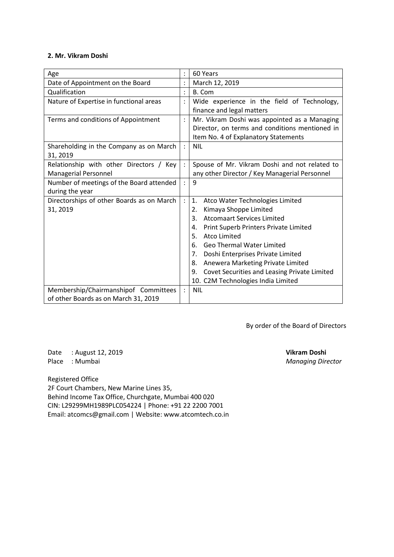## **2. Mr. Vikram Doshi**

| Age                                       |                | 60 Years                                           |  |  |  |  |
|-------------------------------------------|----------------|----------------------------------------------------|--|--|--|--|
| Date of Appointment on the Board          |                | March 12, 2019                                     |  |  |  |  |
| Qualification                             | $\ddot{\cdot}$ | B. Com                                             |  |  |  |  |
| Nature of Expertise in functional areas   |                | Wide experience in the field of Technology,        |  |  |  |  |
|                                           |                | finance and legal matters                          |  |  |  |  |
| Terms and conditions of Appointment       |                | Mr. Vikram Doshi was appointed as a Managing       |  |  |  |  |
|                                           |                | Director, on terms and conditions mentioned in     |  |  |  |  |
|                                           |                | Item No. 4 of Explanatory Statements               |  |  |  |  |
| Shareholding in the Company as on March   |                | <b>NIL</b>                                         |  |  |  |  |
| 31, 2019                                  |                |                                                    |  |  |  |  |
| Relationship with other Directors / Key   |                | Spouse of Mr. Vikram Doshi and not related to      |  |  |  |  |
| Managerial Personnel                      |                | any other Director / Key Managerial Personnel      |  |  |  |  |
| Number of meetings of the Board attended  | $\ddot{\cdot}$ | 9                                                  |  |  |  |  |
| during the year                           |                |                                                    |  |  |  |  |
| Directorships of other Boards as on March | $\ddot{\cdot}$ | 1.<br>Atco Water Technologies Limited              |  |  |  |  |
| 31, 2019                                  |                | Kimaya Shoppe Limited<br>2.                        |  |  |  |  |
|                                           |                | <b>Atcomaart Services Limited</b><br>3.            |  |  |  |  |
|                                           |                | Print Superb Printers Private Limited<br>4.        |  |  |  |  |
|                                           |                | <b>Atco Limited</b><br>5.                          |  |  |  |  |
|                                           |                | <b>Geo Thermal Water Limited</b><br>6.             |  |  |  |  |
|                                           |                | Doshi Enterprises Private Limited<br>7.            |  |  |  |  |
|                                           |                | Anewera Marketing Private Limited<br>8.            |  |  |  |  |
|                                           |                | Covet Securities and Leasing Private Limited<br>9. |  |  |  |  |
|                                           |                | 10. C2M Technologies India Limited                 |  |  |  |  |
| Membership/Chairmanshipof Committees      |                | <b>NIL</b>                                         |  |  |  |  |
| of other Boards as on March 31, 2019      |                |                                                    |  |  |  |  |

By order of the Board of Directors

Date : August 12, 2019 **Vikram Doshi** Place : Mumbai *Managing Director*

Registered Office

2F Court Chambers, New Marine Lines 35, Behind Income Tax Office, Churchgate, Mumbai 400 020 CIN: L29299MH1989PLC054224 | Phone: +91 22 2200 7001 Email: atcomcs@gmail.com | Website: www.atcomtech.co.in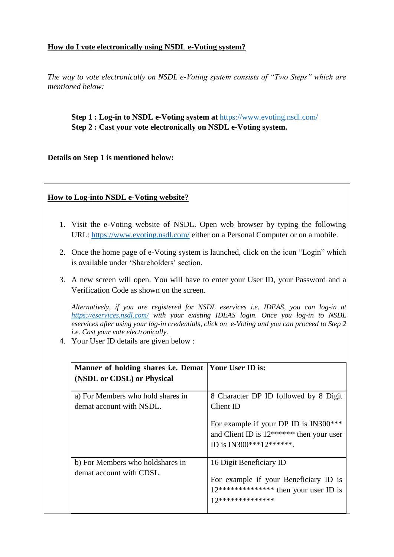# **How do I vote electronically using NSDL e-Voting system?**

*The way to vote electronically on NSDL e-Voting system consists of "Two Steps" which are mentioned below:*

# **Step 1 : Log-in to NSDL e-Voting system at** <https://www.evoting.nsdl.com/> **Step 2 : Cast your vote electronically on NSDL e-Voting system.**

**Details on Step 1 is mentioned below:**

# **How to Log-into NSDL e-Voting website?**

- 1. Visit the e-Voting website of NSDL. Open web browser by typing the following URL:<https://www.evoting.nsdl.com/> either on a Personal Computer or on a mobile.
- 2. Once the home page of e-Voting system is launched, click on the icon "Login" which is available under 'Shareholders' section.
- 3. A new screen will open. You will have to enter your User ID, your Password and a Verification Code as shown on the screen.

*Alternatively, if you are registered for NSDL eservices i.e. IDEAS, you can log-in at <https://eservices.nsdl.com/> with your existing IDEAS login. Once you log-in to NSDL eservices after using your log-in credentials, click on e-Voting and you can proceed to Step 2 i.e. Cast your vote electronically.*

4. Your User ID details are given below :

| Manner of holding shares i.e. Demat   Your User ID is:<br>(NSDL or CDSL) or Physical |                                                                                                                                                                     |
|--------------------------------------------------------------------------------------|---------------------------------------------------------------------------------------------------------------------------------------------------------------------|
| a) For Members who hold shares in<br>demat account with NSDL.                        | 8 Character DP ID followed by 8 Digit<br>Client ID<br>For example if your DP ID is IN300***<br>and Client ID is $12*****$ then your user<br>ID is IN300***12******. |
| b) For Members who holdshares in<br>demat account with CDSL.                         | 16 Digit Beneficiary ID<br>For example if your Beneficiary ID is<br>$12****************$ then your user ID is<br>17**************                                   |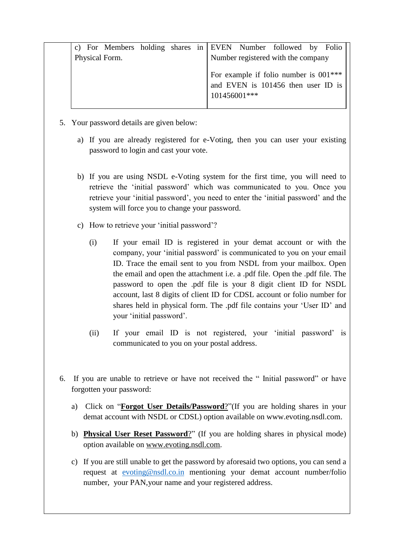|                |  |  |  |  |                                                                                               |  | c) For Members holding shares in EVEN Number followed by Folio |  |  |
|----------------|--|--|--|--|-----------------------------------------------------------------------------------------------|--|----------------------------------------------------------------|--|--|
| Physical Form. |  |  |  |  | Number registered with the company                                                            |  |                                                                |  |  |
|                |  |  |  |  | For example if folio number is $001***$<br>and EVEN is 101456 then user ID is<br>101456001*** |  |                                                                |  |  |

- 5. Your password details are given below:
	- a) If you are already registered for e-Voting, then you can user your existing password to login and cast your vote.
	- b) If you are using NSDL e-Voting system for the first time, you will need to retrieve the "initial password" which was communicated to you. Once you retrieve your "initial password", you need to enter the "initial password" and the system will force you to change your password.
	- c) How to retrieve your 'initial password'?
		- (i) If your email ID is registered in your demat account or with the company, your "initial password" is communicated to you on your email ID. Trace the email sent to you from NSDL from your mailbox. Open the email and open the attachment i.e. a .pdf file. Open the .pdf file. The password to open the .pdf file is your 8 digit client ID for NSDL account, last 8 digits of client ID for CDSL account or folio number for shares held in physical form. The .pdf file contains your "User ID" and your "initial password".
		- (ii) If your email ID is not registered, your "initial password" is communicated to you on your postal address.
- 6. If you are unable to retrieve or have not received the " Initial password" or have forgotten your password:
	- a) Click on "**[Forgot User Details/Password](https://www.evoting.nsdl.com/eVotingWeb/commonhtmls/NewUser.jsp)**?"(If you are holding shares in your demat account with NSDL or CDSL) option available on www.evoting.nsdl.com.
	- b) **[Physical User Reset Password](https://www.evoting.nsdl.com/eVotingWeb/commonhtmls/PhysicalUser.jsp)**?" (If you are holding shares in physical mode) option available on [www.evoting.nsdl.com.](http://www.evoting.nsdl.com/)
	- c) If you are still unable to get the password by aforesaid two options, you can send a request at [evoting@nsdl.co.in](mailto:evoting@nsdl.co.in) mentioning your demat account number/folio number, your PAN,your name and your registered address.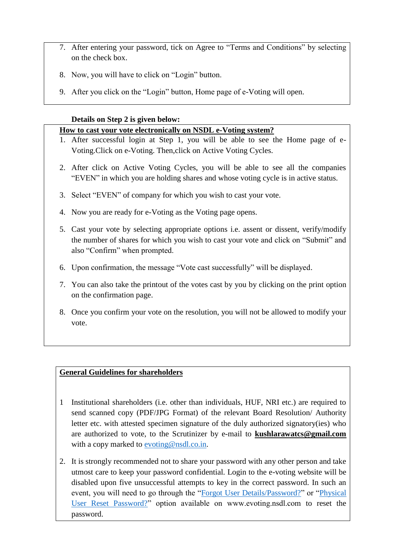- 7. After entering your password, tick on Agree to "Terms and Conditions" by selecting on the check box.
- 8. Now, you will have to click on "Login" button.
- 9. After you click on the "Login" button, Home page of e-Voting will open.

# **Details on Step 2 is given below:**

## **How to cast your vote electronically on NSDL e-Voting system?**

- 1. After successful login at Step 1, you will be able to see the Home page of e-Voting.Click on e-Voting. Then,click on Active Voting Cycles.
- 2. After click on Active Voting Cycles, you will be able to see all the companies "EVEN" in which you are holding shares and whose voting cycle is in active status.
- 3. Select "EVEN" of company for which you wish to cast your vote.
- 4. Now you are ready for e-Voting as the Voting page opens.
- 5. Cast your vote by selecting appropriate options i.e. assent or dissent, verify/modify the number of shares for which you wish to cast your vote and click on "Submit" and also "Confirm" when prompted.
- 6. Upon confirmation, the message "Vote cast successfully" will be displayed.
- 7. You can also take the printout of the votes cast by you by clicking on the print option on the confirmation page.
- 8. Once you confirm your vote on the resolution, you will not be allowed to modify your vote.

# **General Guidelines for shareholders**

- 1 Institutional shareholders (i.e. other than individuals, HUF, NRI etc.) are required to send scanned copy (PDF/JPG Format) of the relevant Board Resolution/ Authority letter etc. with attested specimen signature of the duly authorized signatory(ies) who are authorized to vote, to the Scrutinizer by e-mail to **kushlarawatcs@gmail.com** with a copy marked to [evoting@nsdl.co.in.](mailto:evoting@nsdl.co.in)
- 2. It is strongly recommended not to share your password with any other person and take utmost care to keep your password confidential. Login to the e-voting website will be disabled upon five unsuccessful attempts to key in the correct password. In such an event, you will need to go through the ["Forgot User Details/Password?"](https://www.evoting.nsdl.com/eVotingWeb/commonhtmls/NewUser.jsp) or ["Physical](https://www.evoting.nsdl.com/eVotingWeb/commonhtmls/PhysicalUser.jsp)  [User Reset Password?"](https://www.evoting.nsdl.com/eVotingWeb/commonhtmls/PhysicalUser.jsp) option available on www.evoting.nsdl.com to reset the password.